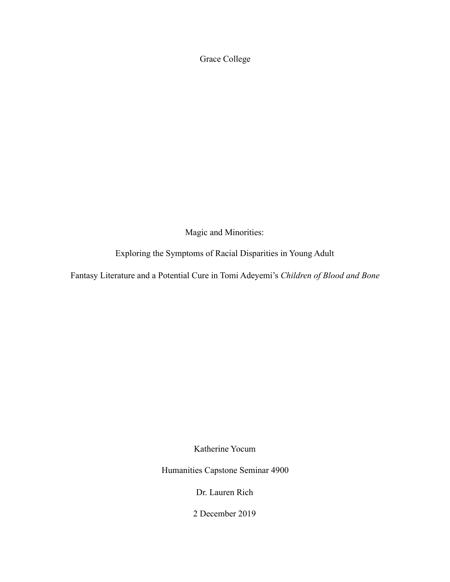Grace College

Magic and Minorities:

Exploring the Symptoms of Racial Disparities in Young Adult

Fantasy Literature and a Potential Cure in Tomi Adeyemi's *Children of Blood and Bone*

Katherine Yocum

Humanities Capstone Seminar 4900

Dr. Lauren Rich

2 December 2019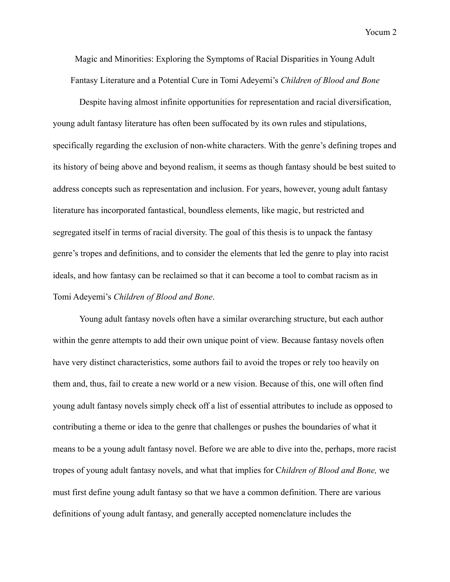Magic and Minorities: Exploring the Symptoms of Racial Disparities in Young Adult Fantasy Literature and a Potential Cure in Tomi Adeyemi's *Children of Blood and Bone*

 Despite having almost infinite opportunities for representation and racial diversification, young adult fantasy literature has often been suffocated by its own rules and stipulations, specifically regarding the exclusion of non-white characters. With the genre's defining tropes and its history of being above and beyond realism, it seems as though fantasy should be best suited to address concepts such as representation and inclusion. For years, however, young adult fantasy literature has incorporated fantastical, boundless elements, like magic, but restricted and segregated itself in terms of racial diversity. The goal of this thesis is to unpack the fantasy genre's tropes and definitions, and to consider the elements that led the genre to play into racist ideals, and how fantasy can be reclaimed so that it can become a tool to combat racism as in Tomi Adeyemi's *Children of Blood and Bone*.

 Young adult fantasy novels often have a similar overarching structure, but each author within the genre attempts to add their own unique point of view. Because fantasy novels often have very distinct characteristics, some authors fail to avoid the tropes or rely too heavily on them and, thus, fail to create a new world or a new vision. Because of this, one will often find young adult fantasy novels simply check off a list of essential attributes to include as opposed to contributing a theme or idea to the genre that challenges or pushes the boundaries of what it means to be a young adult fantasy novel. Before we are able to dive into the, perhaps, more racist tropes of young adult fantasy novels, and what that implies for C*hildren of Blood and Bone,* we must first define young adult fantasy so that we have a common definition. There are various definitions of young adult fantasy, and generally accepted nomenclature includes the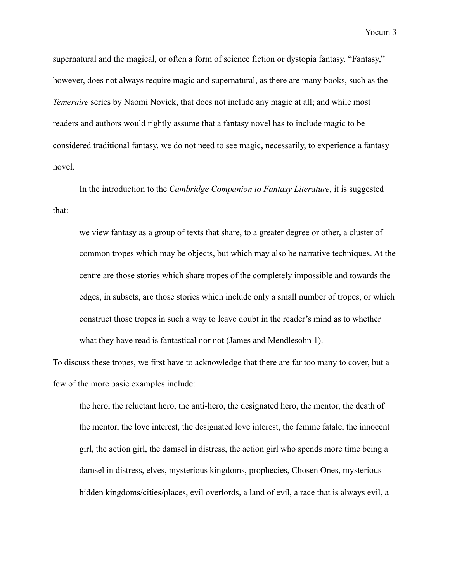supernatural and the magical, or often a form of science fiction or dystopia fantasy. "Fantasy," however, does not always require magic and supernatural, as there are many books, such as the *Temeraire* series by Naomi Novick, that does not include any magic at all; and while most readers and authors would rightly assume that a fantasy novel has to include magic to be considered traditional fantasy, we do not need to see magic, necessarily, to experience a fantasy novel.

 In the introduction to the *Cambridge Companion to Fantasy Literature*, it is suggested that:

we view fantasy as a group of texts that share, to a greater degree or other, a cluster of common tropes which may be objects, but which may also be narrative techniques. At the centre are those stories which share tropes of the completely impossible and towards the edges, in subsets, are those stories which include only a small number of tropes, or which construct those tropes in such a way to leave doubt in the reader's mind as to whether what they have read is fantastical nor not (James and Mendlesohn 1).

To discuss these tropes, we first have to acknowledge that there are far too many to cover, but a few of the more basic examples include:

the hero, the reluctant hero, the anti-hero, the designated hero, the mentor, the death of the mentor, the love interest, the designated love interest, the femme fatale, the innocent girl, the action girl, the damsel in distress, the action girl who spends more time being a damsel in distress, elves, mysterious kingdoms, prophecies, Chosen Ones, mysterious hidden kingdoms/cities/places, evil overlords, a land of evil, a race that is always evil, a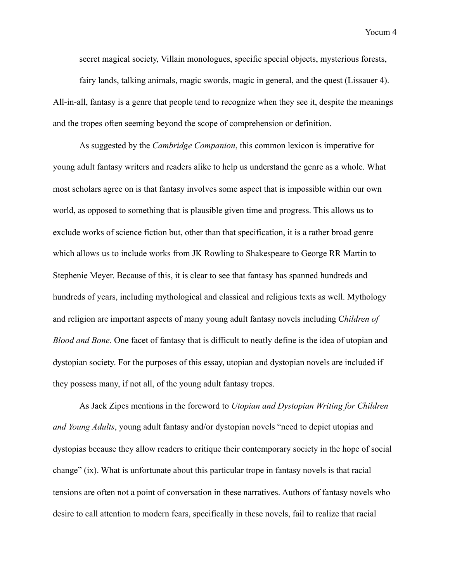secret magical society, Villain monologues, specific special objects, mysterious forests, fairy lands, talking animals, magic swords, magic in general, and the quest (Lissauer 4). All-in-all, fantasy is a genre that people tend to recognize when they see it, despite the meanings and the tropes often seeming beyond the scope of comprehension or definition.

 As suggested by the *Cambridge Companion*, this common lexicon is imperative for young adult fantasy writers and readers alike to help us understand the genre as a whole. What most scholars agree on is that fantasy involves some aspect that is impossible within our own world, as opposed to something that is plausible given time and progress. This allows us to exclude works of science fiction but, other than that specification, it is a rather broad genre which allows us to include works from JK Rowling to Shakespeare to George RR Martin to Stephenie Meyer. Because of this, it is clear to see that fantasy has spanned hundreds and hundreds of years, including mythological and classical and religious texts as well. Mythology and religion are important aspects of many young adult fantasy novels including C*hildren of Blood and Bone.* One facet of fantasy that is difficult to neatly define is the idea of utopian and dystopian society. For the purposes of this essay, utopian and dystopian novels are included if they possess many, if not all, of the young adult fantasy tropes.

 As Jack Zipes mentions in the foreword to *Utopian and Dystopian Writing for Children and Young Adults*, young adult fantasy and/or dystopian novels "need to depict utopias and dystopias because they allow readers to critique their contemporary society in the hope of social change" (ix). What is unfortunate about this particular trope in fantasy novels is that racial tensions are often not a point of conversation in these narratives. Authors of fantasy novels who desire to call attention to modern fears, specifically in these novels, fail to realize that racial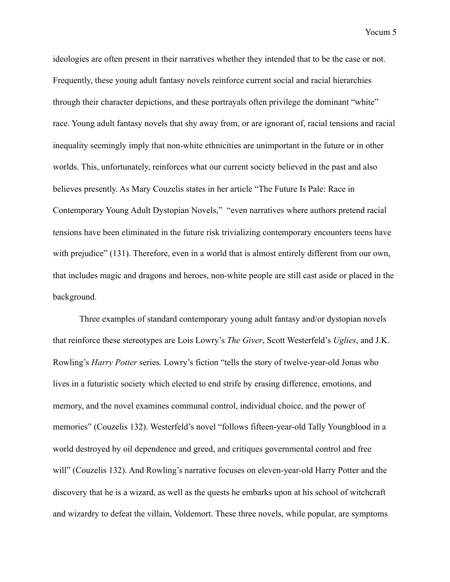ideologies are often present in their narratives whether they intended that to be the case or not. Frequently, these young adult fantasy novels reinforce current social and racial hierarchies through their character depictions, and these portrayals often privilege the dominant "white" race. Young adult fantasy novels that shy away from, or are ignorant of, racial tensions and racial inequality seemingly imply that non-white ethnicities are unimportant in the future or in other worlds. This, unfortunately, reinforces what our current society believed in the past and also believes presently. As Mary Couzelis states in her article "The Future Is Pale: Race in Contemporary Young Adult Dystopian Novels," "even narratives where authors pretend racial tensions have been eliminated in the future risk trivializing contemporary encounters teens have with prejudice" (131). Therefore, even in a world that is almost entirely different from our own, that includes magic and dragons and heroes, non-white people are still cast aside or placed in the background.

 Three examples of standard contemporary young adult fantasy and/or dystopian novels that reinforce these stereotypes are Lois Lowry's *The Giver*, Scott Westerfeld's *Uglies*, and J.K. Rowling's *Harry Potter* series*.* Lowry's fiction "tells the story of twelve-year-old Jonas who lives in a futuristic society which elected to end strife by erasing difference, emotions, and memory, and the novel examines communal control, individual choice, and the power of memories" (Couzelis 132). Westerfeld's novel "follows fifteen-year-old Tally Youngblood in a world destroyed by oil dependence and greed, and critiques governmental control and free will" (Couzelis 132). And Rowling's narrative focuses on eleven-year-old Harry Potter and the discovery that he is a wizard, as well as the quests he embarks upon at his school of witchcraft and wizardry to defeat the villain, Voldemort. These three novels, while popular, are symptoms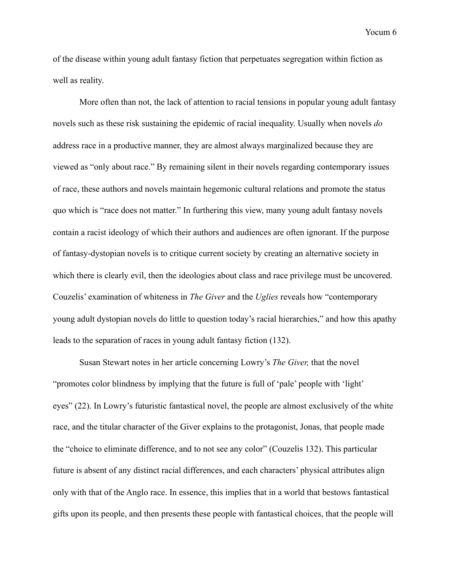of the disease within young adult fantasy fiction that perpetuates segregation within fiction as well as reality.

 More often than not, the lack of attention to racial tensions in popular young adult fantasy novels such as these risk sustaining the epidemic of racial inequality. Usually when novels *do*  address race in a productive manner, they are almost always marginalized because they are viewed as "only about race." By remaining silent in their novels regarding contemporary issues of race, these authors and novels maintain hegemonic cultural relations and promote the status quo which is "race does not matter." In furthering this view, many young adult fantasy novels contain a racist ideology of which their authors and audiences are often ignorant. If the purpose of fantasy-dystopian novels is to critique current society by creating an alternative society in which there is clearly evil, then the ideologies about class and race privilege must be uncovered. Couzelis' examination of whiteness in *The Giver* and the *Uglies* reveals how "contemporary young adult dystopian novels do little to question today's racial hierarchies," and how this apathy leads to the separation of races in young adult fantasy fiction (132).

 Susan Stewart notes in her article concerning Lowry's *The Giver,* that the novel "promotes color blindness by implying that the future is full of 'pale' people with 'light' eyes" (22). In Lowry's futuristic fantastical novel, the people are almost exclusively of the white race, and the titular character of the Giver explains to the protagonist, Jonas, that people made the "choice to eliminate difference, and to not see any color" (Couzelis 132). This particular future is absent of any distinct racial differences, and each characters' physical attributes align only with that of the Anglo race. In essence, this implies that in a world that bestows fantastical gifts upon its people, and then presents these people with fantastical choices, that the people will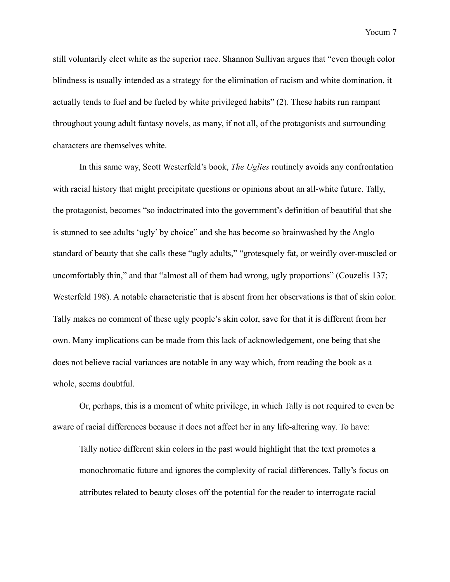still voluntarily elect white as the superior race. Shannon Sullivan argues that "even though color blindness is usually intended as a strategy for the elimination of racism and white domination, it actually tends to fuel and be fueled by white privileged habits" (2). These habits run rampant throughout young adult fantasy novels, as many, if not all, of the protagonists and surrounding characters are themselves white.

 In this same way, Scott Westerfeld's book, *The Uglies* routinely avoids any confrontation with racial history that might precipitate questions or opinions about an all-white future. Tally, the protagonist, becomes "so indoctrinated into the government's definition of beautiful that she is stunned to see adults 'ugly' by choice" and she has become so brainwashed by the Anglo standard of beauty that she calls these "ugly adults," "grotesquely fat, or weirdly over-muscled or uncomfortably thin," and that "almost all of them had wrong, ugly proportions" (Couzelis 137; Westerfeld 198). A notable characteristic that is absent from her observations is that of skin color. Tally makes no comment of these ugly people's skin color, save for that it is different from her own. Many implications can be made from this lack of acknowledgement, one being that she does not believe racial variances are notable in any way which, from reading the book as a whole, seems doubtful.

 Or, perhaps, this is a moment of white privilege, in which Tally is not required to even be aware of racial differences because it does not affect her in any life-altering way. To have:

Tally notice different skin colors in the past would highlight that the text promotes a monochromatic future and ignores the complexity of racial differences. Tally's focus on attributes related to beauty closes off the potential for the reader to interrogate racial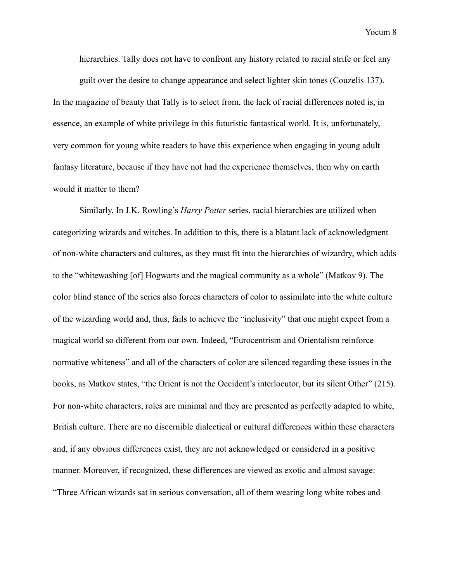hierarchies. Tally does not have to confront any history related to racial strife or feel any

guilt over the desire to change appearance and select lighter skin tones (Couzelis 137). In the magazine of beauty that Tally is to select from, the lack of racial differences noted is, in essence, an example of white privilege in this futuristic fantastical world. It is, unfortunately, very common for young white readers to have this experience when engaging in young adult fantasy literature, because if they have not had the experience themselves, then why on earth would it matter to them?

 Similarly, In J.K. Rowling's *Harry Potter* series, racial hierarchies are utilized when categorizing wizards and witches. In addition to this, there is a blatant lack of acknowledgment of non-white characters and cultures, as they must fit into the hierarchies of wizardry, which adds to the "whitewashing [of] Hogwarts and the magical community as a whole" (Matkov 9). The color blind stance of the series also forces characters of color to assimilate into the white culture of the wizarding world and, thus, fails to achieve the "inclusivity" that one might expect from a magical world so different from our own. Indeed, "Eurocentrism and Orientalism reinforce normative whiteness" and all of the characters of color are silenced regarding these issues in the books, as Matkov states, "the Orient is not the Occident's interlocutor, but its silent Other" (215). For non-white characters, roles are minimal and they are presented as perfectly adapted to white, British culture. There are no discernible dialectical or cultural differences within these characters and, if any obvious differences exist, they are not acknowledged or considered in a positive manner. Moreover, if recognized, these differences are viewed as exotic and almost savage: "Three African wizards sat in serious conversation, all of them wearing long white robes and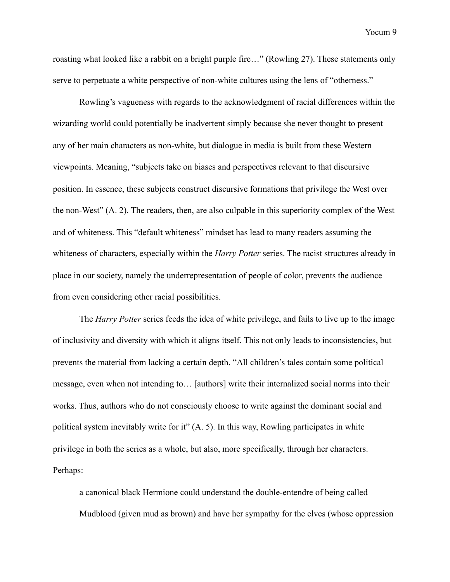roasting what looked like a rabbit on a bright purple fire…" (Rowling 27). These statements only serve to perpetuate a white perspective of non-white cultures using the lens of "otherness."

Rowling's vagueness with regards to the acknowledgment of racial differences within the wizarding world could potentially be inadvertent simply because she never thought to present any of her main characters as non-white, but dialogue in media is built from these Western viewpoints. Meaning, "subjects take on biases and perspectives relevant to that discursive position. In essence, these subjects construct discursive formations that privilege the West over the non-West" (A. 2). The readers, then, are also culpable in this superiority complex of the West and of whiteness. This "default whiteness" mindset has lead to many readers assuming the whiteness of characters, especially within the *Harry Potter* series. The racist structures already in place in our society, namely the underrepresentation of people of color, prevents the audience from even considering other racial possibilities.

 The *Harry Potter* series feeds the idea of white privilege, and fails to live up to the image of inclusivity and diversity with which it aligns itself. This not only leads to inconsistencies, but prevents the material from lacking a certain depth. "All children's tales contain some political message, even when not intending to… [authors] write their internalized social norms into their works. Thus, authors who do not consciously choose to write against the dominant social and political system inevitably write for it" (A. 5). In this way, Rowling participates in white privilege in both the series as a whole, but also, more specifically, through her characters. Perhaps:

a canonical black Hermione could understand the double-entendre of being called Mudblood (given mud as brown) and have her sympathy for the elves (whose oppression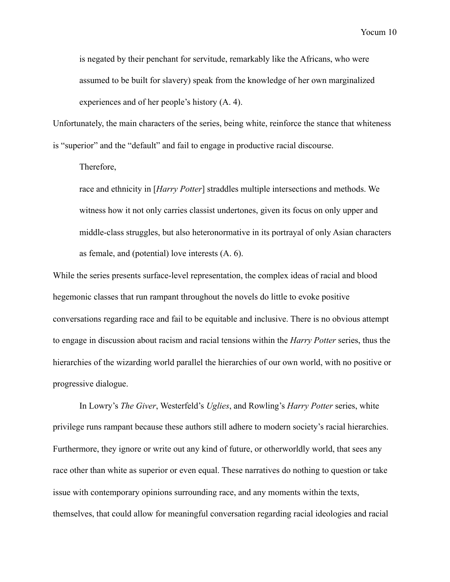is negated by their penchant for servitude, remarkably like the Africans, who were assumed to be built for slavery) speak from the knowledge of her own marginalized experiences and of her people's history (A. 4).

Unfortunately, the main characters of the series, being white, reinforce the stance that whiteness is "superior" and the "default" and fail to engage in productive racial discourse.

Therefore,

race and ethnicity in [*Harry Potter*] straddles multiple intersections and methods. We witness how it not only carries classist undertones, given its focus on only upper and middle-class struggles, but also heteronormative in its portrayal of only Asian characters as female, and (potential) love interests (A. 6).

While the series presents surface-level representation, the complex ideas of racial and blood hegemonic classes that run rampant throughout the novels do little to evoke positive conversations regarding race and fail to be equitable and inclusive. There is no obvious attempt to engage in discussion about racism and racial tensions within the *Harry Potter* series, thus the hierarchies of the wizarding world parallel the hierarchies of our own world, with no positive or progressive dialogue.

 In Lowry's *The Giver*, Westerfeld's *Uglies*, and Rowling's *Harry Potter* series, white privilege runs rampant because these authors still adhere to modern society's racial hierarchies. Furthermore, they ignore or write out any kind of future, or otherworldly world, that sees any race other than white as superior or even equal. These narratives do nothing to question or take issue with contemporary opinions surrounding race, and any moments within the texts, themselves, that could allow for meaningful conversation regarding racial ideologies and racial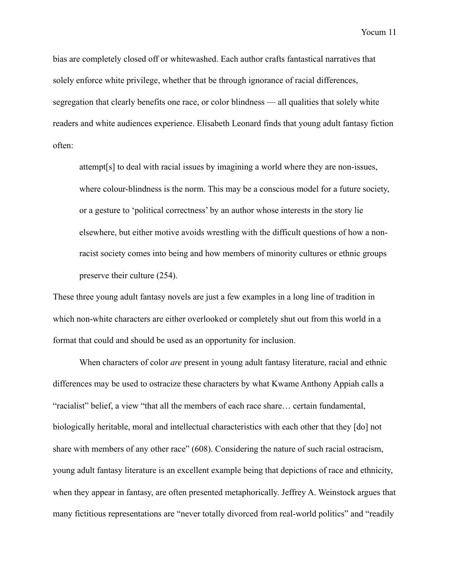bias are completely closed off or whitewashed. Each author crafts fantastical narratives that solely enforce white privilege, whether that be through ignorance of racial differences, segregation that clearly benefits one race, or color blindness — all qualities that solely white readers and white audiences experience. Elisabeth Leonard finds that young adult fantasy fiction often:

attempt[s] to deal with racial issues by imagining a world where they are non-issues, where colour-blindness is the norm. This may be a conscious model for a future society, or a gesture to 'political correctness' by an author whose interests in the story lie elsewhere, but either motive avoids wrestling with the difficult questions of how a nonracist society comes into being and how members of minority cultures or ethnic groups preserve their culture (254).

These three young adult fantasy novels are just a few examples in a long line of tradition in which non-white characters are either overlooked or completely shut out from this world in a format that could and should be used as an opportunity for inclusion.

 When characters of color *are* present in young adult fantasy literature, racial and ethnic differences may be used to ostracize these characters by what Kwame Anthony Appiah calls a "racialist" belief, a view "that all the members of each race share… certain fundamental, biologically heritable, moral and intellectual characteristics with each other that they [do] not share with members of any other race" (608). Considering the nature of such racial ostracism, young adult fantasy literature is an excellent example being that depictions of race and ethnicity, when they appear in fantasy, are often presented metaphorically. Jeffrey A. Weinstock argues that many fictitious representations are "never totally divorced from real-world politics" and "readily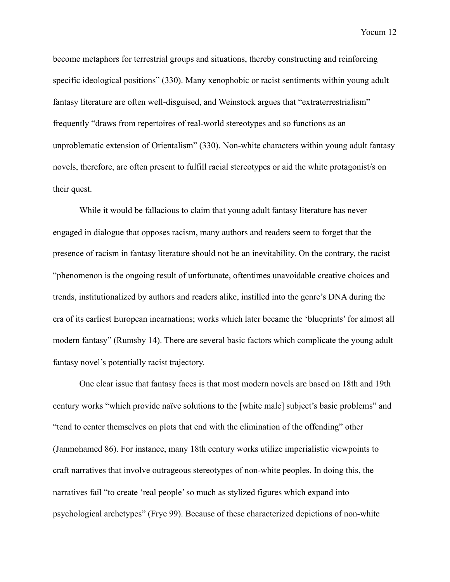become metaphors for terrestrial groups and situations, thereby constructing and reinforcing specific ideological positions" (330). Many xenophobic or racist sentiments within young adult fantasy literature are often well-disguised, and Weinstock argues that "extraterrestrialism" frequently "draws from repertoires of real-world stereotypes and so functions as an unproblematic extension of Orientalism" (330). Non-white characters within young adult fantasy novels, therefore, are often present to fulfill racial stereotypes or aid the white protagonist/s on their quest.

 While it would be fallacious to claim that young adult fantasy literature has never engaged in dialogue that opposes racism, many authors and readers seem to forget that the presence of racism in fantasy literature should not be an inevitability. On the contrary, the racist "phenomenon is the ongoing result of unfortunate, oftentimes unavoidable creative choices and trends, institutionalized by authors and readers alike, instilled into the genre's DNA during the era of its earliest European incarnations; works which later became the 'blueprints' for almost all modern fantasy" (Rumsby 14). There are several basic factors which complicate the young adult fantasy novel's potentially racist trajectory.

 One clear issue that fantasy faces is that most modern novels are based on 18th and 19th century works "which provide naïve solutions to the [white male] subject's basic problems" and "tend to center themselves on plots that end with the elimination of the offending" other (Janmohamed 86). For instance, many 18th century works utilize imperialistic viewpoints to craft narratives that involve outrageous stereotypes of non-white peoples. In doing this, the narratives fail "to create 'real people' so much as stylized figures which expand into psychological archetypes" (Frye 99). Because of these characterized depictions of non-white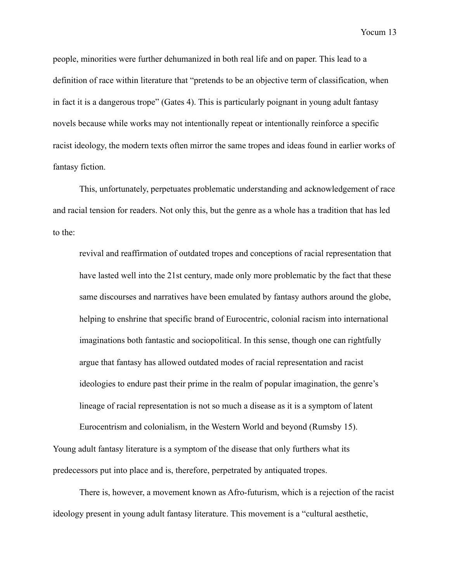people, minorities were further dehumanized in both real life and on paper. This lead to a definition of race within literature that "pretends to be an objective term of classification, when in fact it is a dangerous trope" (Gates 4). This is particularly poignant in young adult fantasy novels because while works may not intentionally repeat or intentionally reinforce a specific racist ideology, the modern texts often mirror the same tropes and ideas found in earlier works of fantasy fiction.

 This, unfortunately, perpetuates problematic understanding and acknowledgement of race and racial tension for readers. Not only this, but the genre as a whole has a tradition that has led to the:

revival and reaffirmation of outdated tropes and conceptions of racial representation that have lasted well into the 21st century, made only more problematic by the fact that these same discourses and narratives have been emulated by fantasy authors around the globe, helping to enshrine that specific brand of Eurocentric, colonial racism into international imaginations both fantastic and sociopolitical. In this sense, though one can rightfully argue that fantasy has allowed outdated modes of racial representation and racist ideologies to endure past their prime in the realm of popular imagination, the genre's lineage of racial representation is not so much a disease as it is a symptom of latent

Eurocentrism and colonialism, in the Western World and beyond (Rumsby 15). Young adult fantasy literature is a symptom of the disease that only furthers what its predecessors put into place and is, therefore, perpetrated by antiquated tropes.

 There is, however, a movement known as Afro-futurism, which is a rejection of the racist ideology present in young adult fantasy literature. This movement is a "cultural aesthetic,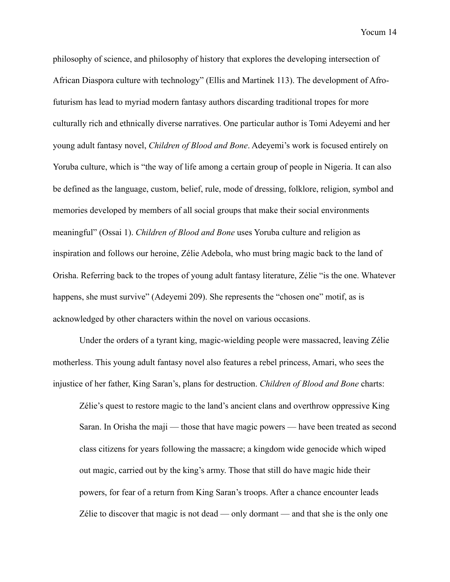philosophy of science, and philosophy of history that explores the developing intersection of African Diaspora culture with technology" (Ellis and Martinek 113). The development of Afrofuturism has lead to myriad modern fantasy authors discarding traditional tropes for more culturally rich and ethnically diverse narratives. One particular author is Tomi Adeyemi and her young adult fantasy novel, *Children of Blood and Bone*. Adeyemi's work is focused entirely on Yoruba culture, which is "the way of life among a certain group of people in Nigeria. It can also be defined as the language, custom, belief, rule, mode of dressing, folklore, religion, symbol and memories developed by members of all social groups that make their social environments meaningful" (Ossai 1). *Children of Blood and Bone* uses Yoruba culture and religion as inspiration and follows our heroine, Zélie Adebola, who must bring magic back to the land of Orisha. Referring back to the tropes of young adult fantasy literature, Zélie "is the one. Whatever happens, she must survive" (Adeyemi 209). She represents the "chosen one" motif, as is acknowledged by other characters within the novel on various occasions.

 Under the orders of a tyrant king, magic-wielding people were massacred, leaving Zélie motherless. This young adult fantasy novel also features a rebel princess, Amari, who sees the injustice of her father, King Saran's, plans for destruction. *Children of Blood and Bone* charts:

Zélie's quest to restore magic to the land's ancient clans and overthrow oppressive King Saran. In Orisha the maji — those that have magic powers — have been treated as second class citizens for years following the massacre; a kingdom wide genocide which wiped out magic, carried out by the king's army. Those that still do have magic hide their powers, for fear of a return from King Saran's troops. After a chance encounter leads Zélie to discover that magic is not dead — only dormant — and that she is the only one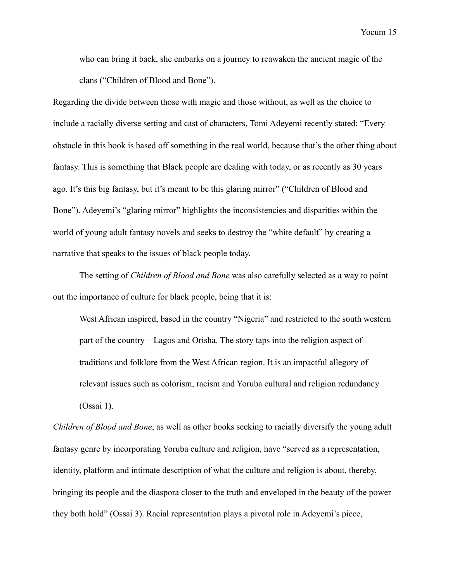who can bring it back, she embarks on a journey to reawaken the ancient magic of the clans ("Children of Blood and Bone").

Regarding the divide between those with magic and those without, as well as the choice to include a racially diverse setting and cast of characters, Tomi Adeyemi recently stated: "Every obstacle in this book is based off something in the real world, because that's the other thing about fantasy. This is something that Black people are dealing with today, or as recently as 30 years ago. It's this big fantasy, but it's meant to be this glaring mirror" ("Children of Blood and Bone"). Adeyemi's "glaring mirror" highlights the inconsistencies and disparities within the world of young adult fantasy novels and seeks to destroy the "white default" by creating a narrative that speaks to the issues of black people today.

 The setting of *Children of Blood and Bone* was also carefully selected as a way to point out the importance of culture for black people, being that it is:

West African inspired, based in the country "Nigeria" and restricted to the south western part of the country – Lagos and Orisha. The story taps into the religion aspect of traditions and folklore from the West African region. It is an impactful allegory of relevant issues such as colorism, racism and Yoruba cultural and religion redundancy (Ossai 1).

*Children of Blood and Bone*, as well as other books seeking to racially diversify the young adult fantasy genre by incorporating Yoruba culture and religion, have "served as a representation, identity, platform and intimate description of what the culture and religion is about, thereby, bringing its people and the diaspora closer to the truth and enveloped in the beauty of the power they both hold" (Ossai 3). Racial representation plays a pivotal role in Adeyemi's piece,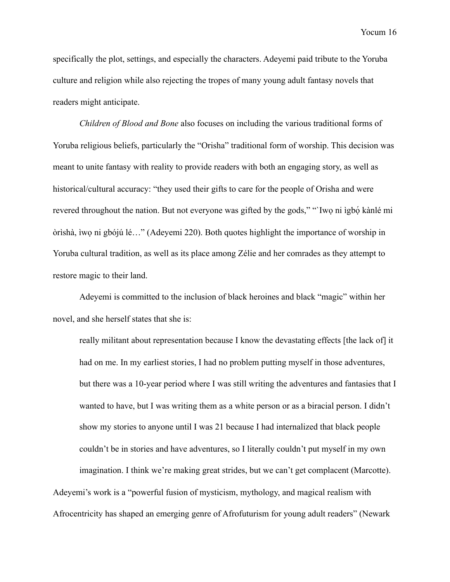specifically the plot, settings, and especially the characters. Adeyemi paid tribute to the Yoruba culture and religion while also rejecting the tropes of many young adult fantasy novels that readers might anticipate.

*Children of Blood and Bone* also focuses on including the various traditional forms of Yoruba religious beliefs, particularly the "Orisha" traditional form of worship. This decision was meant to unite fantasy with reality to provide readers with both an engaging story, as well as historical/cultural accuracy: "they used their gifts to care for the people of Orisha and were revered throughout the nation. But not everyone was gifted by the gods," "Iwo ni ìgbó kànlé mi òrìshà, ìwọ ni gbójú lé…" (Adeyemi 220). Both quotes highlight the importance of worship in Yoruba cultural tradition, as well as its place among Zélie and her comrades as they attempt to restore magic to their land.

Adeyemi is committed to the inclusion of black heroines and black "magic" within her novel, and she herself states that she is:

really militant about representation because I know the devastating effects [the lack of] it had on me. In my earliest stories, I had no problem putting myself in those adventures, but there was a 10-year period where I was still writing the adventures and fantasies that I wanted to have, but I was writing them as a white person or as a biracial person. I didn't show my stories to anyone until I was 21 because I had internalized that black people couldn't be in stories and have adventures, so I literally couldn't put myself in my own imagination. I think we're making great strides, but we can't get complacent (Marcotte).

Adeyemi's work is a "powerful fusion of mysticism, mythology, and magical realism with Afrocentricity has shaped an emerging genre of Afrofuturism for young adult readers" (Newark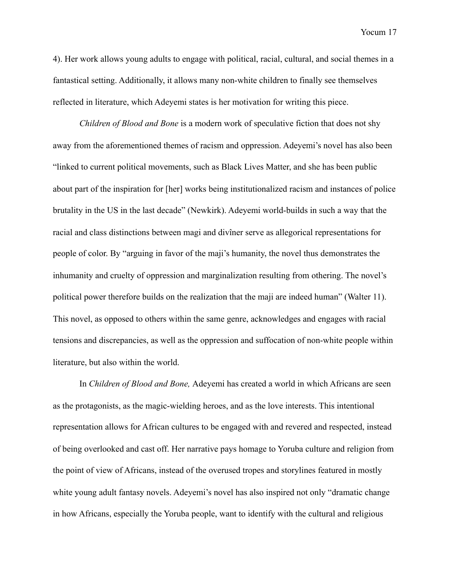4). Her work allows young adults to engage with political, racial, cultural, and social themes in a fantastical setting. Additionally, it allows many non-white children to finally see themselves reflected in literature, which Adeyemi states is her motivation for writing this piece.

*Children of Blood and Bone* is a modern work of speculative fiction that does not shy away from the aforementioned themes of racism and oppression. Adeyemi's novel has also been "linked to current political movements, such as Black Lives Matter, and she has been public about part of the inspiration for [her] works being institutionalized racism and instances of police brutality in the US in the last decade" (Newkirk). Adeyemi world-builds in such a way that the racial and class distinctions between magi and divîner serve as allegorical representations for people of color. By "arguing in favor of the maji's humanity, the novel thus demonstrates the inhumanity and cruelty of oppression and marginalization resulting from othering. The novel's political power therefore builds on the realization that the maji are indeed human" (Walter 11). This novel, as opposed to others within the same genre, acknowledges and engages with racial tensions and discrepancies, as well as the oppression and suffocation of non-white people within literature, but also within the world.

 In *Children of Blood and Bone,* Adeyemi has created a world in which Africans are seen as the protagonists, as the magic-wielding heroes, and as the love interests. This intentional representation allows for African cultures to be engaged with and revered and respected, instead of being overlooked and cast off. Her narrative pays homage to Yoruba culture and religion from the point of view of Africans, instead of the overused tropes and storylines featured in mostly white young adult fantasy novels. Adeyemi's novel has also inspired not only "dramatic change in how Africans, especially the Yoruba people, want to identify with the cultural and religious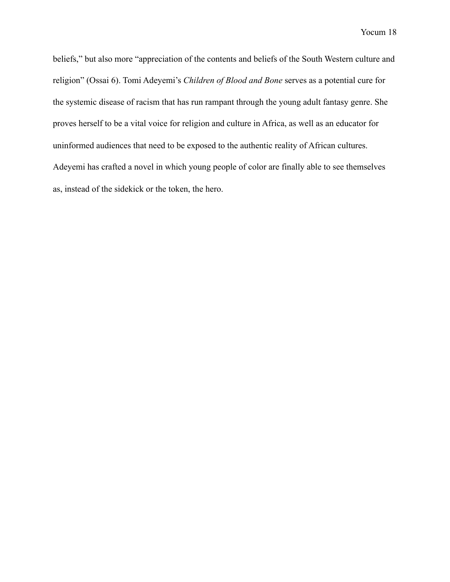beliefs," but also more "appreciation of the contents and beliefs of the South Western culture and religion" (Ossai 6). Tomi Adeyemi's *Children of Blood and Bone* serves as a potential cure for the systemic disease of racism that has run rampant through the young adult fantasy genre. She proves herself to be a vital voice for religion and culture in Africa, as well as an educator for uninformed audiences that need to be exposed to the authentic reality of African cultures. Adeyemi has crafted a novel in which young people of color are finally able to see themselves as, instead of the sidekick or the token, the hero.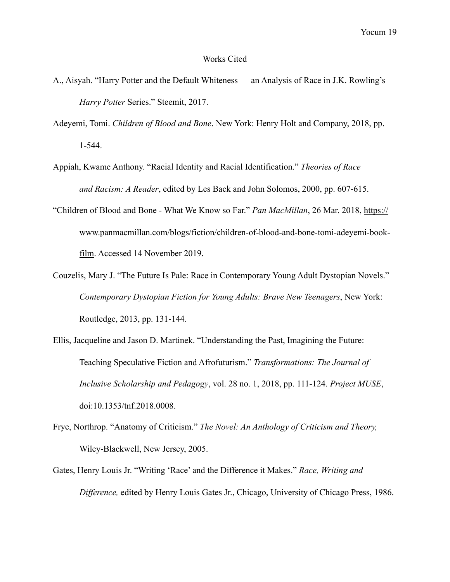## Works Cited

- A., Aisyah. "Harry Potter and the Default Whiteness an Analysis of Race in J.K. Rowling's *Harry Potter* Series." Steemit, 2017.
- Adeyemi, Tomi. *Children of Blood and Bone*. New York: Henry Holt and Company, 2018, pp. 1-544.
- Appiah, Kwame Anthony. "Racial Identity and Racial Identification." *Theories of Race and Racism: A Reader*, edited by Les Back and John Solomos, 2000, pp. 607-615.
- "Children of Blood and Bone What We Know so Far." *Pan MacMillan*, 26 Mar. 2018, https:// [www.panmacmillan.com/blogs/fiction/children-of-blood-and-bone-tomi-adeyemi-book](http://www.panmacmillan.com/blogs/fiction/children-of-blood-and-bone-tomi-adeyemi-book-)film. Accessed 14 November 2019.
- Couzelis, Mary J. "The Future Is Pale: Race in Contemporary Young Adult Dystopian Novels." *Contemporary Dystopian Fiction for Young Adults: Brave New Teenagers*, New York: Routledge, 2013, pp. 131-144.
- Ellis, Jacqueline and Jason D. Martinek. "Understanding the Past, Imagining the Future: Teaching Speculative Fiction and Afrofuturism." *Transformations: The Journal of Inclusive Scholarship and Pedagogy*, vol. 28 no. 1, 2018, pp. 111-124. *Project MUSE*, doi:10.1353/tnf.2018.0008.
- Frye, Northrop. "Anatomy of Criticism." *The Novel: An Anthology of Criticism and Theory,*  Wiley-Blackwell, New Jersey, 2005.
- Gates, Henry Louis Jr. "Writing 'Race' and the Difference it Makes." *Race, Writing and Difference,* edited by Henry Louis Gates Jr., Chicago, University of Chicago Press, 1986.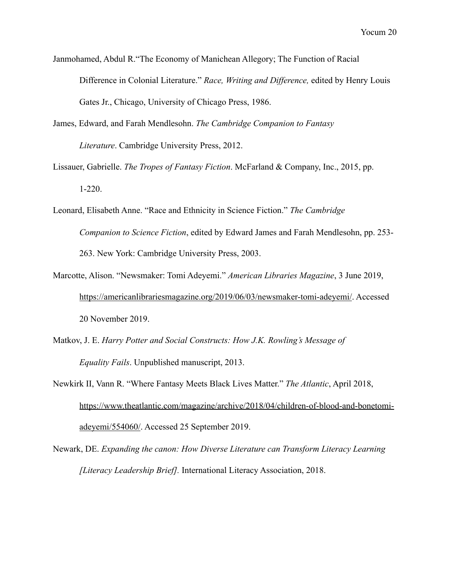Janmohamed, Abdul R."The Economy of Manichean Allegory; The Function of Racial Difference in Colonial Literature." *Race, Writing and Difference,* edited by Henry Louis Gates Jr., Chicago, University of Chicago Press, 1986.

- James, Edward, and Farah Mendlesohn. *The Cambridge Companion to Fantasy Literature*. Cambridge University Press, 2012.
- Lissauer, Gabrielle. *The Tropes of Fantasy Fiction*. McFarland & Company, Inc., 2015, pp. 1-220.
- Leonard, Elisabeth Anne. "Race and Ethnicity in Science Fiction." *The Cambridge Companion to Science Fiction*, edited by Edward James and Farah Mendlesohn, pp. 253- 263. New York: Cambridge University Press, 2003.
- Marcotte, Alison. "Newsmaker: Tomi Adeyemi." *American Libraries Magazine*, 3 June 2019, <https://americanlibrariesmagazine.org/2019/06/03/newsmaker-tomi-adeyemi/>. Accessed 20 November 2019.
- Matkov, J. E. *Harry Potter and Social Constructs: How J.K. Rowling's Message of Equality Fails*. Unpublished manuscript, 2013.
- Newkirk II, Vann R. "Where Fantasy Meets Black Lives Matter." *The Atlantic*, April 2018, [https://www.theatlantic.com/magazine/archive/2018/04/children-of-blood-and-bonetomi](https://www.theatlantic.com/magazine/archive/2018/04/children-of-blood-and-bonetomi-)adeyemi/554060/. Accessed 25 September 2019.
- Newark, DE. *Expanding the canon: How Diverse Literature can Transform Literacy Learning [Literacy Leadership Brief].* International Literacy Association, 2018.